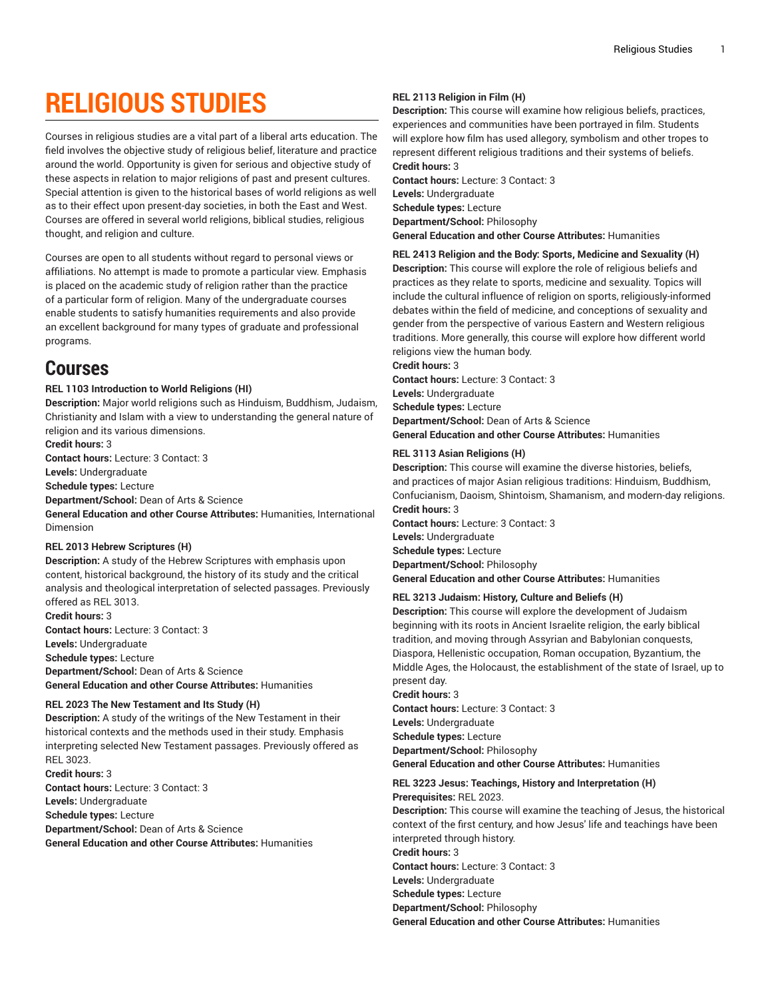# **RELIGIOUS STUDIES**

Courses in religious studies are a vital part of a liberal arts education. The field involves the objective study of religious belief, literature and practice around the world. Opportunity is given for serious and objective study of these aspects in relation to major religions of past and present cultures. Special attention is given to the historical bases of world religions as well as to their effect upon present-day societies, in both the East and West. Courses are offered in several world religions, biblical studies, religious thought, and religion and culture.

Courses are open to all students without regard to personal views or affiliations. No attempt is made to promote a particular view. Emphasis is placed on the academic study of religion rather than the practice of a particular form of religion. Many of the undergraduate courses enable students to satisfy humanities requirements and also provide an excellent background for many types of graduate and professional programs.

### **Courses**

#### **REL 1103 Introduction to World Religions (HI)**

**Description:** Major world religions such as Hinduism, Buddhism, Judaism, Christianity and Islam with a view to understanding the general nature of religion and its various dimensions.

**Credit hours:** 3

**Contact hours:** Lecture: 3 Contact: 3

**Levels:** Undergraduate

**Schedule types:** Lecture

**Department/School:** Dean of Arts & Science

**General Education and other Course Attributes:** Humanities, International Dimension

#### **REL 2013 Hebrew Scriptures (H)**

**Description:** A study of the Hebrew Scriptures with emphasis upon content, historical background, the history of its study and the critical analysis and theological interpretation of selected passages. Previously offered as REL 3013.

**Credit hours:** 3 **Contact hours:** Lecture: 3 Contact: 3 **Levels:** Undergraduate **Schedule types:** Lecture **Department/School:** Dean of Arts & Science **General Education and other Course Attributes:** Humanities

#### **REL 2023 The New Testament and Its Study (H)**

**Description:** A study of the writings of the New Testament in their historical contexts and the methods used in their study. Emphasis interpreting selected New Testament passages. Previously offered as REL 3023.

**Credit hours:** 3 **Contact hours:** Lecture: 3 Contact: 3 **Levels:** Undergraduate **Schedule types:** Lecture **Department/School:** Dean of Arts & Science **General Education and other Course Attributes:** Humanities

#### **REL 2113 Religion in Film (H)**

**Description:** This course will examine how religious beliefs, practices, experiences and communities have been portrayed in film. Students will explore how film has used allegory, symbolism and other tropes to represent different religious traditions and their systems of beliefs. **Credit hours:** 3

**Contact hours:** Lecture: 3 Contact: 3 **Levels:** Undergraduate **Schedule types:** Lecture **Department/School:** Philosophy **General Education and other Course Attributes:** Humanities

#### **REL 2413 Religion and the Body: Sports, Medicine and Sexuality (H)**

**Description:** This course will explore the role of religious beliefs and practices as they relate to sports, medicine and sexuality. Topics will include the cultural influence of religion on sports, religiously-informed debates within the field of medicine, and conceptions of sexuality and gender from the perspective of various Eastern and Western religious traditions. More generally, this course will explore how different world religions view the human body.

#### **Credit hours:** 3

**Contact hours:** Lecture: 3 Contact: 3 **Levels:** Undergraduate **Schedule types:** Lecture **Department/School:** Dean of Arts & Science **General Education and other Course Attributes:** Humanities

#### **REL 3113 Asian Religions (H)**

**Description:** This course will examine the diverse histories, beliefs, and practices of major Asian religious traditions: Hinduism, Buddhism, Confucianism, Daoism, Shintoism, Shamanism, and modern-day religions. **Credit hours:** 3

**Contact hours:** Lecture: 3 Contact: 3 **Levels:** Undergraduate **Schedule types:** Lecture **Department/School:** Philosophy **General Education and other Course Attributes:** Humanities

### **REL 3213 Judaism: History, Culture and Beliefs (H)**

**Description:** This course will explore the development of Judaism beginning with its roots in Ancient Israelite religion, the early biblical tradition, and moving through Assyrian and Babylonian conquests, Diaspora, Hellenistic occupation, Roman occupation, Byzantium, the Middle Ages, the Holocaust, the establishment of the state of Israel, up to present day.

**Credit hours:** 3 **Contact hours:** Lecture: 3 Contact: 3 **Levels:** Undergraduate **Schedule types:** Lecture **Department/School:** Philosophy **General Education and other Course Attributes:** Humanities

**REL 3223 Jesus: Teachings, History and Interpretation (H)**

#### **Prerequisites:** REL 2023.

**Description:** This course will examine the teaching of Jesus, the historical context of the first century, and how Jesus' life and teachings have been interpreted through history.

**Credit hours:** 3

**Contact hours:** Lecture: 3 Contact: 3

**Levels:** Undergraduate

**Schedule types:** Lecture **Department/School:** Philosophy

**General Education and other Course Attributes:** Humanities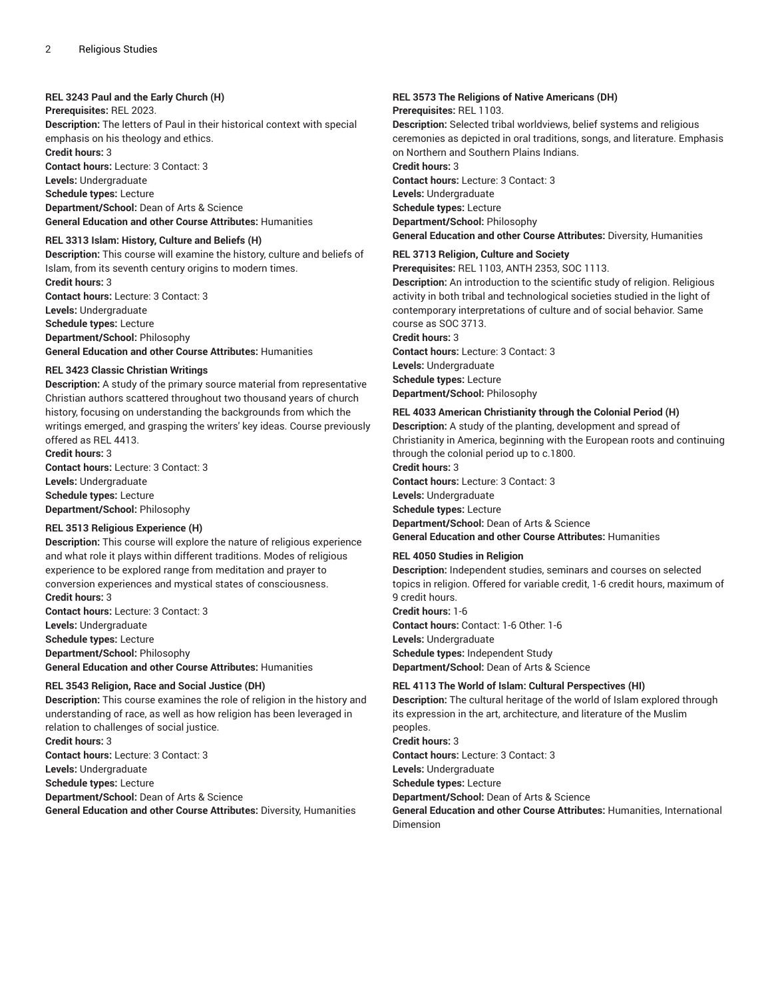#### **REL 3243 Paul and the Early Church (H)**

**Prerequisites:** REL 2023.

**Description:** The letters of Paul in their historical context with special emphasis on his theology and ethics.

**Credit hours:** 3

**Contact hours:** Lecture: 3 Contact: 3 **Levels:** Undergraduate

**Schedule types:** Lecture

**Department/School:** Dean of Arts & Science

**General Education and other Course Attributes:** Humanities

#### **REL 3313 Islam: History, Culture and Beliefs (H)**

**Description:** This course will examine the history, culture and beliefs of Islam, from its seventh century origins to modern times. **Credit hours:** 3 **Contact hours:** Lecture: 3 Contact: 3 **Levels:** Undergraduate **Schedule types:** Lecture **Department/School:** Philosophy **General Education and other Course Attributes:** Humanities

#### **REL 3423 Classic Christian Writings**

**Description:** A study of the primary source material from representative Christian authors scattered throughout two thousand years of church history, focusing on understanding the backgrounds from which the writings emerged, and grasping the writers' key ideas. Course previously offered as REL 4413.

**Credit hours:** 3 **Contact hours:** Lecture: 3 Contact: 3 **Levels:** Undergraduate **Schedule types:** Lecture **Department/School:** Philosophy

#### **REL 3513 Religious Experience (H)**

**Description:** This course will explore the nature of religious experience and what role it plays within different traditions. Modes of religious experience to be explored range from meditation and prayer to conversion experiences and mystical states of consciousness. **Credit hours:** 3

**Contact hours:** Lecture: 3 Contact: 3 **Levels:** Undergraduate **Schedule types:** Lecture **Department/School:** Philosophy **General Education and other Course Attributes:** Humanities

#### **REL 3543 Religion, Race and Social Justice (DH)**

**Description:** This course examines the role of religion in the history and understanding of race, as well as how religion has been leveraged in relation to challenges of social justice. **Credit hours:** 3 **Contact hours:** Lecture: 3 Contact: 3 **Levels:** Undergraduate **Schedule types:** Lecture

**Department/School:** Dean of Arts & Science

**General Education and other Course Attributes:** Diversity, Humanities

#### **REL 3573 The Religions of Native Americans (DH) Prerequisites:** REL 1103.

**Description:** Selected tribal worldviews, belief systems and religious ceremonies as depicted in oral traditions, songs, and literature. Emphasis on Northern and Southern Plains Indians. **Credit hours:** 3 **Contact hours:** Lecture: 3 Contact: 3 **Levels:** Undergraduate **Schedule types:** Lecture **Department/School:** Philosophy **General Education and other Course Attributes:** Diversity, Humanities

#### **REL 3713 Religion, Culture and Society**

**Prerequisites:** REL 1103, ANTH 2353, SOC 1113.

**Description:** An introduction to the scientific study of religion. Religious activity in both tribal and technological societies studied in the light of contemporary interpretations of culture and of social behavior. Same course as SOC 3713. **Credit hours:** 3

**Contact hours:** Lecture: 3 Contact: 3 **Levels:** Undergraduate **Schedule types:** Lecture **Department/School:** Philosophy

#### **REL 4033 American Christianity through the Colonial Period (H)**

**Description:** A study of the planting, development and spread of Christianity in America, beginning with the European roots and continuing through the colonial period up to c.1800. **Credit hours:** 3 **Contact hours:** Lecture: 3 Contact: 3 **Levels:** Undergraduate **Schedule types:** Lecture **Department/School:** Dean of Arts & Science **General Education and other Course Attributes:** Humanities

#### **REL 4050 Studies in Religion**

**Description:** Independent studies, seminars and courses on selected topics in religion. Offered for variable credit, 1-6 credit hours, maximum of 9 credit hours. **Credit hours:** 1-6

**Contact hours:** Contact: 1-6 Other: 1-6 **Levels:** Undergraduate **Schedule types:** Independent Study **Department/School:** Dean of Arts & Science

#### **REL 4113 The World of Islam: Cultural Perspectives (HI)**

**Description:** The cultural heritage of the world of Islam explored through its expression in the art, architecture, and literature of the Muslim peoples. **Credit hours:** 3 **Contact hours:** Lecture: 3 Contact: 3

**Levels:** Undergraduate

**Schedule types:** Lecture

**Department/School:** Dean of Arts & Science

**General Education and other Course Attributes:** Humanities, International Dimension